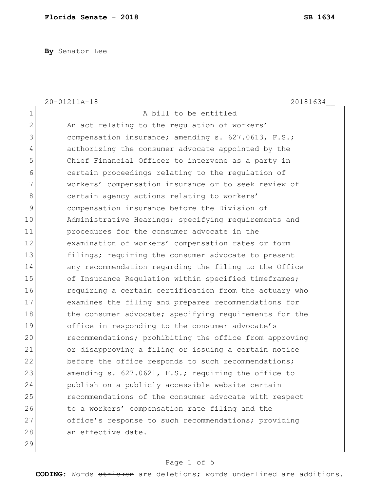**By** Senator Lee

|                | 20-01211A-18<br>20181634                               |
|----------------|--------------------------------------------------------|
| 1              | A bill to be entitled                                  |
| $\overline{2}$ | An act relating to the regulation of workers'          |
| 3              | compensation insurance; amending s. 627.0613, F.S.;    |
| 4              | authorizing the consumer advocate appointed by the     |
| 5              | Chief Financial Officer to intervene as a party in     |
| 6              | certain proceedings relating to the regulation of      |
| 7              | workers' compensation insurance or to seek review of   |
| 8              | certain agency actions relating to workers'            |
| 9              | compensation insurance before the Division of          |
| 10             | Administrative Hearings; specifying requirements and   |
| 11             | procedures for the consumer advocate in the            |
| 12             | examination of workers' compensation rates or form     |
| 13             | filings; requiring the consumer advocate to present    |
| 14             | any recommendation regarding the filing to the Office  |
| 15             | of Insurance Regulation within specified timeframes;   |
| 16             | requiring a certain certification from the actuary who |
| 17             | examines the filing and prepares recommendations for   |
| 18             | the consumer advocate; specifying requirements for the |
| 19             | office in responding to the consumer advocate's        |
| 20             | recommendations; prohibiting the office from approving |
| 21             | or disapproving a filing or issuing a certain notice   |
| 22             | before the office responds to such recommendations;    |
| 23             | amending s. 627.0621, F.S.; requiring the office to    |
| 24             | publish on a publicly accessible website certain       |
| 25             | recommendations of the consumer advocate with respect  |
| 26             | to a workers' compensation rate filing and the         |
| 27             | office's response to such recommendations; providing   |
| 28             | an effective date.                                     |
| 29             |                                                        |

# Page 1 of 5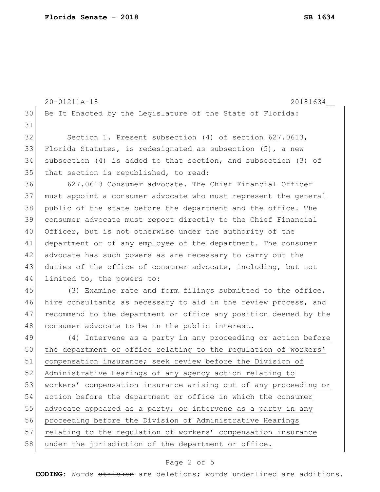|    | 20-01211A-18<br>20181634                                           |  |  |  |  |  |  |  |  |
|----|--------------------------------------------------------------------|--|--|--|--|--|--|--|--|
| 30 | Be It Enacted by the Legislature of the State of Florida:          |  |  |  |  |  |  |  |  |
| 31 |                                                                    |  |  |  |  |  |  |  |  |
| 32 | Section 1. Present subsection (4) of section 627.0613,             |  |  |  |  |  |  |  |  |
| 33 | Florida Statutes, is redesignated as subsection $(5)$ , a new      |  |  |  |  |  |  |  |  |
| 34 | subsection $(4)$ is added to that section, and subsection $(3)$ of |  |  |  |  |  |  |  |  |
| 35 | that section is republished, to read:                              |  |  |  |  |  |  |  |  |
| 36 | 627.0613 Consumer advocate. The Chief Financial Officer            |  |  |  |  |  |  |  |  |
| 37 | must appoint a consumer advocate who must represent the general    |  |  |  |  |  |  |  |  |
| 38 | public of the state before the department and the office. The      |  |  |  |  |  |  |  |  |
| 39 | consumer advocate must report directly to the Chief Financial      |  |  |  |  |  |  |  |  |
| 40 | Officer, but is not otherwise under the authority of the           |  |  |  |  |  |  |  |  |
| 41 | department or of any employee of the department. The consumer      |  |  |  |  |  |  |  |  |
| 42 | advocate has such powers as are necessary to carry out the         |  |  |  |  |  |  |  |  |
| 43 | duties of the office of consumer advocate, including, but not      |  |  |  |  |  |  |  |  |
| 44 | limited to, the powers to:                                         |  |  |  |  |  |  |  |  |
| 45 | (3) Examine rate and form filings submitted to the office,         |  |  |  |  |  |  |  |  |
| 46 | hire consultants as necessary to aid in the review process, and    |  |  |  |  |  |  |  |  |
| 47 | recommend to the department or office any position deemed by the   |  |  |  |  |  |  |  |  |
| 48 | consumer advocate to be in the public interest.                    |  |  |  |  |  |  |  |  |
| 49 | (4) Intervene as a party in any proceeding or action before        |  |  |  |  |  |  |  |  |
| 50 | the department or office relating to the regulation of workers'    |  |  |  |  |  |  |  |  |
| 51 | compensation insurance; seek review before the Division of         |  |  |  |  |  |  |  |  |
| 52 | Administrative Hearings of any agency action relating to           |  |  |  |  |  |  |  |  |
| 53 | workers' compensation insurance arising out of any proceeding or   |  |  |  |  |  |  |  |  |
| 54 | action before the department or office in which the consumer       |  |  |  |  |  |  |  |  |
| 55 | advocate appeared as a party; or intervene as a party in any       |  |  |  |  |  |  |  |  |
| 56 | proceeding before the Division of Administrative Hearings          |  |  |  |  |  |  |  |  |
| 57 | relating to the regulation of workers' compensation insurance      |  |  |  |  |  |  |  |  |
| 58 | under the jurisdiction of the department or office.                |  |  |  |  |  |  |  |  |
|    |                                                                    |  |  |  |  |  |  |  |  |

# Page 2 of 5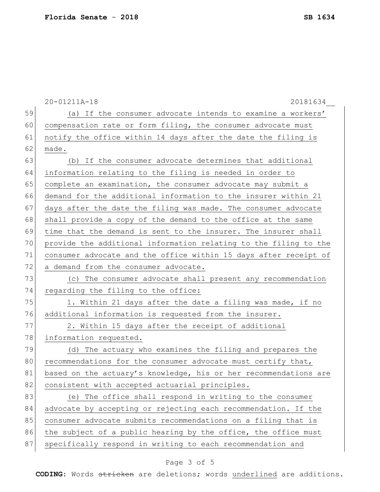|    | 20-01211A-18<br>20181634                                         |  |  |  |  |  |  |  |  |  |
|----|------------------------------------------------------------------|--|--|--|--|--|--|--|--|--|
| 59 | (a) If the consumer advocate intends to examine a workers'       |  |  |  |  |  |  |  |  |  |
| 60 | compensation rate or form filing, the consumer advocate must     |  |  |  |  |  |  |  |  |  |
| 61 | notify the office within 14 days after the date the filing is    |  |  |  |  |  |  |  |  |  |
| 62 | made.                                                            |  |  |  |  |  |  |  |  |  |
| 63 | (b) If the consumer advocate determines that additional          |  |  |  |  |  |  |  |  |  |
| 64 | information relating to the filing is needed in order to         |  |  |  |  |  |  |  |  |  |
| 65 | complete an examination, the consumer advocate may submit a      |  |  |  |  |  |  |  |  |  |
| 66 | demand for the additional information to the insurer within 21   |  |  |  |  |  |  |  |  |  |
| 67 | days after the date the filing was made. The consumer advocate   |  |  |  |  |  |  |  |  |  |
| 68 | shall provide a copy of the demand to the office at the same     |  |  |  |  |  |  |  |  |  |
| 69 | time that the demand is sent to the insurer. The insurer shall   |  |  |  |  |  |  |  |  |  |
| 70 | provide the additional information relating to the filing to the |  |  |  |  |  |  |  |  |  |
| 71 | consumer advocate and the office within 15 days after receipt of |  |  |  |  |  |  |  |  |  |
| 72 | a demand from the consumer advocate.                             |  |  |  |  |  |  |  |  |  |
| 73 | (c) The consumer advocate shall present any recommendation       |  |  |  |  |  |  |  |  |  |
| 74 | regarding the filing to the office:                              |  |  |  |  |  |  |  |  |  |
| 75 | 1. Within 21 days after the date a filing was made, if no        |  |  |  |  |  |  |  |  |  |
| 76 | additional information is requested from the insurer.            |  |  |  |  |  |  |  |  |  |
| 77 | 2. Within 15 days after the receipt of additional                |  |  |  |  |  |  |  |  |  |
| 78 | information requested.                                           |  |  |  |  |  |  |  |  |  |
| 79 | (d) The actuary who examines the filing and prepares the         |  |  |  |  |  |  |  |  |  |
| 80 | recommendations for the consumer advocate must certify that,     |  |  |  |  |  |  |  |  |  |
| 81 | based on the actuary's knowledge, his or her recommendations are |  |  |  |  |  |  |  |  |  |
| 82 | consistent with accepted actuarial principles.                   |  |  |  |  |  |  |  |  |  |
| 83 | (e) The office shall respond in writing to the consumer          |  |  |  |  |  |  |  |  |  |
| 84 | advocate by accepting or rejecting each recommendation. If the   |  |  |  |  |  |  |  |  |  |
| 85 | consumer advocate submits recommendations on a filing that is    |  |  |  |  |  |  |  |  |  |
| 86 | the subject of a public hearing by the office, the office must   |  |  |  |  |  |  |  |  |  |
| 87 | specifically respond in writing to each recommendation and       |  |  |  |  |  |  |  |  |  |

# Page 3 of 5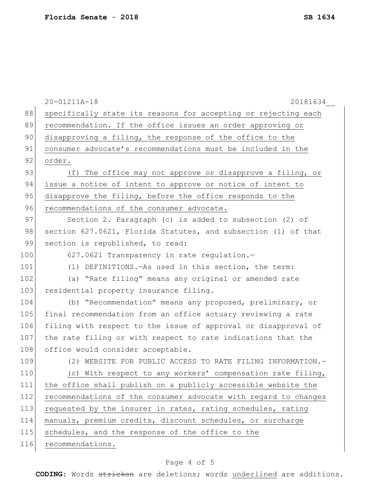|     | 20-01211A-18<br>20181634                                        |  |  |  |  |  |  |  |  |
|-----|-----------------------------------------------------------------|--|--|--|--|--|--|--|--|
| 88  | specifically state its reasons for accepting or rejecting each  |  |  |  |  |  |  |  |  |
| 89  | recommendation. If the office issues an order approving or      |  |  |  |  |  |  |  |  |
| 90  | disapproving a filing, the response of the office to the        |  |  |  |  |  |  |  |  |
| 91  | consumer advocate's recommendations must be included in the     |  |  |  |  |  |  |  |  |
| 92  | order.                                                          |  |  |  |  |  |  |  |  |
| 93  | (f) The office may not approve or disapprove a filing, or       |  |  |  |  |  |  |  |  |
| 94  | issue a notice of intent to approve or notice of intent to      |  |  |  |  |  |  |  |  |
| 95  | disapprove the filing, before the office responds to the        |  |  |  |  |  |  |  |  |
| 96  | recommendations of the consumer advocate.                       |  |  |  |  |  |  |  |  |
| 97  | Section 2. Paragraph (c) is added to subsection (2) of          |  |  |  |  |  |  |  |  |
| 98  | section 627.0621, Florida Statutes, and subsection (1) of that  |  |  |  |  |  |  |  |  |
| 99  | section is republished, to read:                                |  |  |  |  |  |  |  |  |
| 100 | 627.0621 Transparency in rate regulation.-                      |  |  |  |  |  |  |  |  |
| 101 | (1) DEFINITIONS. - As used in this section, the term:           |  |  |  |  |  |  |  |  |
| 102 | (a) "Rate filing" means any original or amended rate            |  |  |  |  |  |  |  |  |
| 103 | residential property insurance filing.                          |  |  |  |  |  |  |  |  |
| 104 | (b) "Recommendation" means any proposed, preliminary, or        |  |  |  |  |  |  |  |  |
| 105 | final recommendation from an office actuary reviewing a rate    |  |  |  |  |  |  |  |  |
| 106 | filing with respect to the issue of approval or disapproval of  |  |  |  |  |  |  |  |  |
| 107 | the rate filing or with respect to rate indications that the    |  |  |  |  |  |  |  |  |
| 108 | office would consider acceptable.                               |  |  |  |  |  |  |  |  |
| 109 | (2) WEBSITE FOR PUBLIC ACCESS TO RATE FILING INFORMATION.-      |  |  |  |  |  |  |  |  |
| 110 | (c) With respect to any workers' compensation rate filing,      |  |  |  |  |  |  |  |  |
| 111 | the office shall publish on a publicly accessible website the   |  |  |  |  |  |  |  |  |
| 112 | recommendations of the consumer advocate with regard to changes |  |  |  |  |  |  |  |  |
| 113 | requested by the insurer in rates, rating schedules, rating     |  |  |  |  |  |  |  |  |
| 114 | manuals, premium credits, discount schedules, or surcharge      |  |  |  |  |  |  |  |  |
| 115 | schedules, and the response of the office to the                |  |  |  |  |  |  |  |  |
| 116 | recommendations.                                                |  |  |  |  |  |  |  |  |
|     |                                                                 |  |  |  |  |  |  |  |  |

# Page 4 of 5